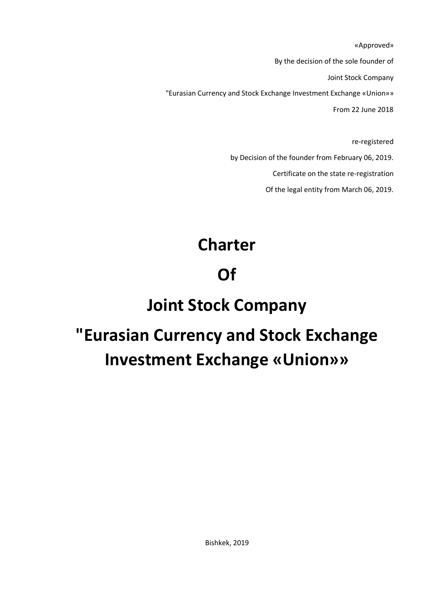«Approved» By the decision of the sole founder of Joint Stock Company "Eurasian Currency and Stock Exchange Investment Exchange «Union»» From 22 June 2018

> re-registered by Decision of the founder from February 06, 2019. Certificate on the state re-registration Of the legal entity from March 06, 2019.

# **Charter**

## **Of**

### **Joint Stock Company**

# **"Eurasian Currency and Stock Exchange Investment Exchange «Union»»**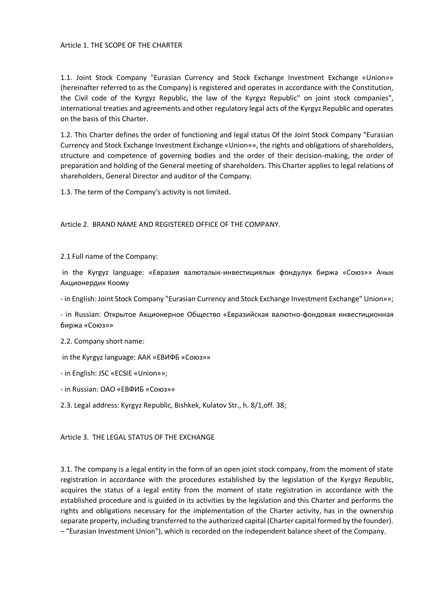### Article 1. THE SCOPE OF THE CHARTER

1.1. Joint Stock Company "Eurasian Currency and Stock Exchange Investment Exchange «Union»» (hereinafter referred to as the Company) is registered and operates in accordance with the Constitution, the Civil code of the Kyrgyz Republic, the law of the Kyrgyz Republic" on joint stock companies", international treaties and agreements and other regulatory legal acts of the Kyrgyz Republic and operates on the basis of this Charter.

1.2. This Charter defines the order of functioning and legal status Of the Joint Stock Company "Eurasian Currency and Stock Exchange Investment Exchange «Union»», the rights and obligations of shareholders, structure and competence of governing bodies and the order of their decision-making, the order of preparation and holding of the General meeting of shareholders. This Charter applies to legal relations of shareholders, General Director and auditor of the Company.

1.3. The term of the Company's activity is not limited.

Article 2. BRAND NAME AND REGISTERED OFFICE OF THE COMPANY.

2.1 Full name of the Company:

in the Kyrgyz language: «Евразия валюталык-инвестициялык фондулук биржа «Союз»» Ачык Акционердик Коому

- in English: Joint Stock Company "Eurasian Currency and Stock Exchange Investment Exchange" Union»»;

- in Russian: Открытое Акционерное Общество «Евразийская валютно-фондовая инвестиционная биржа «Союз»»

2.2. Company short name:

in the Kyrgyz language: ААК «ЕВИФБ «Союз»»

- in English: JSC «ECSIE «Union»»;

- in Russian: ОАО «ЕВФИБ «Союз»»

2.3. Legal address: Kyrgyz Republic, Bishkek, Kulatov Str., h. 8/1,off. 38;

Article 3. THE LEGAL STATUS OF THE EXCHANGE

3.1. The company is a legal entity in the form of an open joint stock company, from the moment of state registration in accordance with the procedures established by the legislation of the Kyrgyz Republic, acquires the status of a legal entity from the moment of state registration in accordance with the established procedure and is guided in its activities by the legislation and this Charter and performs the rights and obligations necessary for the implementation of the Charter activity, has in the ownership separate property, including transferred to the authorized capital (Charter capital formed by the founder). – "Eurasian Investment Union"), which is recorded on the independent balance sheet of the Company.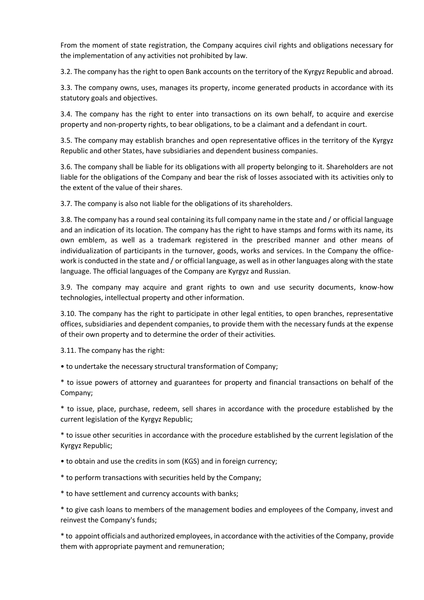From the moment of state registration, the Company acquires civil rights and obligations necessary for the implementation of any activities not prohibited by law.

3.2. The company has the right to open Bank accounts on the territory of the Kyrgyz Republic and abroad.

3.3. The company owns, uses, manages its property, income generated products in accordance with its statutory goals and objectives.

3.4. The company has the right to enter into transactions on its own behalf, to acquire and exercise property and non-property rights, to bear obligations, to be a claimant and a defendant in court.

3.5. The company may establish branches and open representative offices in the territory of the Kyrgyz Republic and other States, have subsidiaries and dependent business companies.

3.6. The company shall be liable for its obligations with all property belonging to it. Shareholders are not liable for the obligations of the Company and bear the risk of losses associated with its activities only to the extent of the value of their shares.

3.7. The company is also not liable for the obligations of its shareholders.

3.8. The company has a round seal containing its full company name in the state and / or official language and an indication of its location. The company has the right to have stamps and forms with its name, its own emblem, as well as a trademark registered in the prescribed manner and other means of individualization of participants in the turnover, goods, works and services. In the Company the officework is conducted in the state and / or official language, as well as in other languages along with the state language. The official languages of the Company are Kyrgyz and Russian.

3.9. The company may acquire and grant rights to own and use security documents, know-how technologies, intellectual property and other information.

3.10. The company has the right to participate in other legal entities, to open branches, representative offices, subsidiaries and dependent companies, to provide them with the necessary funds at the expense of their own property and to determine the order of their activities.

3.11. The company has the right:

• to undertake the necessary structural transformation of Company;

\* to issue powers of attorney and guarantees for property and financial transactions on behalf of the Company;

\* to issue, place, purchase, redeem, sell shares in accordance with the procedure established by the current legislation of the Kyrgyz Republic;

\* to issue other securities in accordance with the procedure established by the current legislation of the Kyrgyz Republic;

• to obtain and use the credits in som (KGS) and in foreign currency;

\* to perform transactions with securities held by the Company;

\* to have settlement and currency accounts with banks;

\* to give cash loans to members of the management bodies and employees of the Company, invest and reinvest the Company's funds;

\* to appoint officials and authorized employees, in accordance with the activities of the Company, provide them with appropriate payment and remuneration;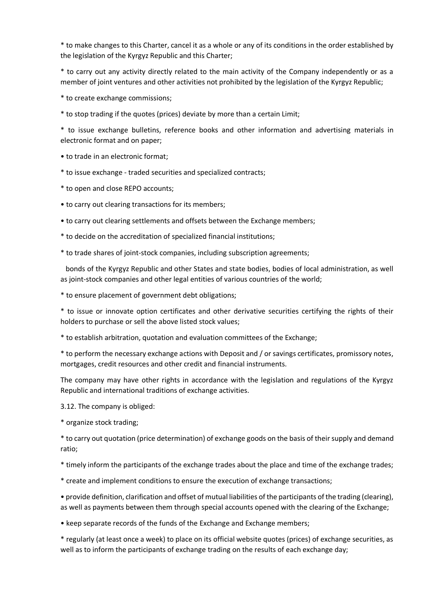\* to make changes to this Charter, cancel it as a whole or any of its conditions in the order established by the legislation of the Kyrgyz Republic and this Charter;

\* to carry out any activity directly related to the main activity of the Company independently or as a member of joint ventures and other activities not prohibited by the legislation of the Kyrgyz Republic;

\* to create exchange commissions;

\* to stop trading if the quotes (prices) deviate by more than a certain Limit;

\* to issue exchange bulletins, reference books and other information and advertising materials in electronic format and on paper;

- to trade in an electronic format;
- \* to issue exchange traded securities and specialized contracts;
- \* to open and close REPO accounts;
- to carry out clearing transactions for its members;
- to carry out clearing settlements and offsets between the Exchange members;
- \* to decide on the accreditation of specialized financial institutions;
- \* to trade shares of joint-stock companies, including subscription agreements;

 bonds of the Kyrgyz Republic and other States and state bodies, bodies of local administration, as well as joint-stock companies and other legal entities of various countries of the world;

\* to ensure placement of government debt obligations;

\* to issue or innovate option certificates and other derivative securities certifying the rights of their holders to purchase or sell the above listed stock values;

\* to establish arbitration, quotation and evaluation committees of the Exchange;

\* to perform the necessary exchange actions with Deposit and / or savings certificates, promissory notes, mortgages, credit resources and other credit and financial instruments.

The company may have other rights in accordance with the legislation and regulations of the Kyrgyz Republic and international traditions of exchange activities.

3.12. The company is obliged:

\* organize stock trading;

\* to carry out quotation (price determination) of exchange goods on the basis of their supply and demand ratio;

\* timely inform the participants of the exchange trades about the place and time of the exchange trades;

\* create and implement conditions to ensure the execution of exchange transactions;

• provide definition, clarification and offset of mutual liabilities of the participants of the trading (clearing), as well as payments between them through special accounts opened with the clearing of the Exchange;

• keep separate records of the funds of the Exchange and Exchange members;

\* regularly (at least once a week) to place on its official website quotes (prices) of exchange securities, as well as to inform the participants of exchange trading on the results of each exchange day;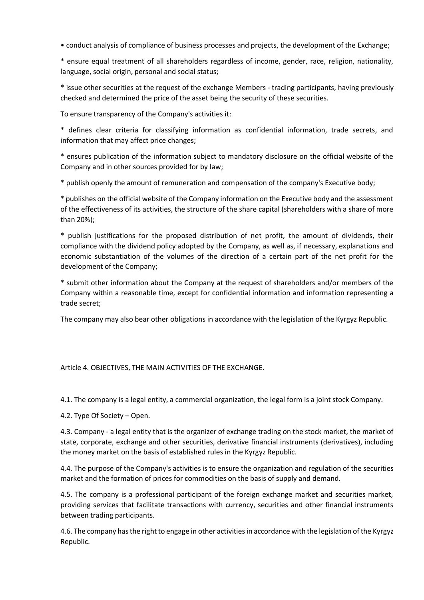• conduct analysis of compliance of business processes and projects, the development of the Exchange;

\* ensure equal treatment of all shareholders regardless of income, gender, race, religion, nationality, language, social origin, personal and social status;

\* issue other securities at the request of the exchange Members - trading participants, having previously checked and determined the price of the asset being the security of these securities.

To ensure transparency of the Company's activities it:

\* defines clear criteria for classifying information as confidential information, trade secrets, and information that may affect price changes;

\* ensures publication of the information subject to mandatory disclosure on the official website of the Company and in other sources provided for by law;

\* publish openly the amount of remuneration and compensation of the company's Executive body;

\* publishes on the official website of the Company information on the Executive body and the assessment of the effectiveness of its activities, the structure of the share capital (shareholders with a share of more than 20%);

\* publish justifications for the proposed distribution of net profit, the amount of dividends, their compliance with the dividend policy adopted by the Company, as well as, if necessary, explanations and economic substantiation of the volumes of the direction of a certain part of the net profit for the development of the Company;

\* submit other information about the Company at the request of shareholders and/or members of the Company within a reasonable time, except for confidential information and information representing a trade secret;

The company may also bear other obligations in accordance with the legislation of the Kyrgyz Republic.

#### Article 4. OBJECTIVES, THE MAIN ACTIVITIES OF THE EXCHANGE.

4.1. The company is a legal entity, a commercial organization, the legal form is a joint stock Company.

4.2. Type Of Society – Open.

4.3. Company - a legal entity that is the organizer of exchange trading on the stock market, the market of state, corporate, exchange and other securities, derivative financial instruments (derivatives), including the money market on the basis of established rules in the Kyrgyz Republic.

4.4. The purpose of the Company's activities is to ensure the organization and regulation of the securities market and the formation of prices for commodities on the basis of supply and demand.

4.5. The company is a professional participant of the foreign exchange market and securities market, providing services that facilitate transactions with currency, securities and other financial instruments between trading participants.

4.6. The company has the right to engage in other activities in accordance with the legislation of the Kyrgyz Republic.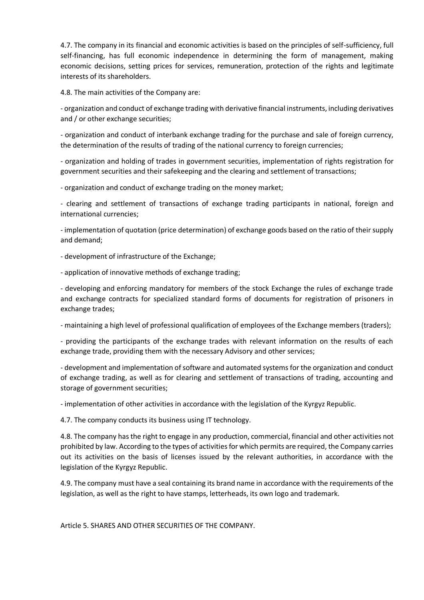4.7. The company in its financial and economic activities is based on the principles of self-sufficiency, full self-financing, has full economic independence in determining the form of management, making economic decisions, setting prices for services, remuneration, protection of the rights and legitimate interests of its shareholders.

4.8. The main activities of the Company are:

- organization and conduct of exchange trading with derivative financial instruments, including derivatives and / or other exchange securities;

- organization and conduct of interbank exchange trading for the purchase and sale of foreign currency, the determination of the results of trading of the national currency to foreign currencies;

- organization and holding of trades in government securities, implementation of rights registration for government securities and their safekeeping and the clearing and settlement of transactions;

- organization and conduct of exchange trading on the money market;

- clearing and settlement of transactions of exchange trading participants in national, foreign and international currencies;

- implementation of quotation (price determination) of exchange goods based on the ratio of their supply and demand;

- development of infrastructure of the Exchange;

- application of innovative methods of exchange trading;

- developing and enforcing mandatory for members of the stock Exchange the rules of exchange trade and exchange contracts for specialized standard forms of documents for registration of prisoners in exchange trades;

- maintaining a high level of professional qualification of employees of the Exchange members (traders);

- providing the participants of the exchange trades with relevant information on the results of each exchange trade, providing them with the necessary Advisory and other services;

- development and implementation of software and automated systems for the organization and conduct of exchange trading, as well as for clearing and settlement of transactions of trading, accounting and storage of government securities;

- implementation of other activities in accordance with the legislation of the Kyrgyz Republic.

4.7. The company conducts its business using IT technology.

4.8. The company has the right to engage in any production, commercial, financial and other activities not prohibited by law. According to the types of activities for which permits are required, the Company carries out its activities on the basis of licenses issued by the relevant authorities, in accordance with the legislation of the Kyrgyz Republic.

4.9. The company must have a seal containing its brand name in accordance with the requirements of the legislation, as well as the right to have stamps, letterheads, its own logo and trademark.

Article 5. SHARES AND OTHER SECURITIES OF THE COMPANY.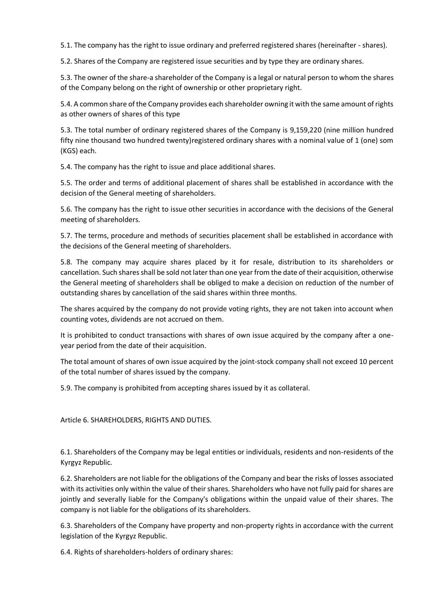5.1. The company has the right to issue ordinary and preferred registered shares (hereinafter - shares).

5.2. Shares of the Company are registered issue securities and by type they are ordinary shares.

5.3. The owner of the share-a shareholder of the Company is a legal or natural person to whom the shares of the Company belong on the right of ownership or other proprietary right.

5.4. A common share of the Company provides each shareholder owning it with the same amount of rights as other owners of shares of this type

5.3. The total number of ordinary registered shares of the Company is 9,159,220 (nine million hundred fifty nine thousand two hundred twenty)registered ordinary shares with a nominal value of 1 (one) som (KGS) each.

5.4. The company has the right to issue and place additional shares.

5.5. The order and terms of additional placement of shares shall be established in accordance with the decision of the General meeting of shareholders.

5.6. The company has the right to issue other securities in accordance with the decisions of the General meeting of shareholders.

5.7. The terms, procedure and methods of securities placement shall be established in accordance with the decisions of the General meeting of shareholders.

5.8. The company may acquire shares placed by it for resale, distribution to its shareholders or cancellation. Such shares shall be sold not later than one year from the date of their acquisition, otherwise the General meeting of shareholders shall be obliged to make a decision on reduction of the number of outstanding shares by cancellation of the said shares within three months.

The shares acquired by the company do not provide voting rights, they are not taken into account when counting votes, dividends are not accrued on them.

It is prohibited to conduct transactions with shares of own issue acquired by the company after a oneyear period from the date of their acquisition.

The total amount of shares of own issue acquired by the joint-stock company shall not exceed 10 percent of the total number of shares issued by the company.

5.9. The company is prohibited from accepting shares issued by it as collateral.

Article 6. SHAREHOLDERS, RIGHTS AND DUTIES.

6.1. Shareholders of the Company may be legal entities or individuals, residents and non-residents of the Kyrgyz Republic.

6.2. Shareholders are not liable for the obligations of the Company and bear the risks of losses associated with its activities only within the value of their shares. Shareholders who have not fully paid for shares are jointly and severally liable for the Company's obligations within the unpaid value of their shares. The company is not liable for the obligations of its shareholders.

6.3. Shareholders of the Company have property and non-property rights in accordance with the current legislation of the Kyrgyz Republic.

6.4. Rights of shareholders-holders of ordinary shares: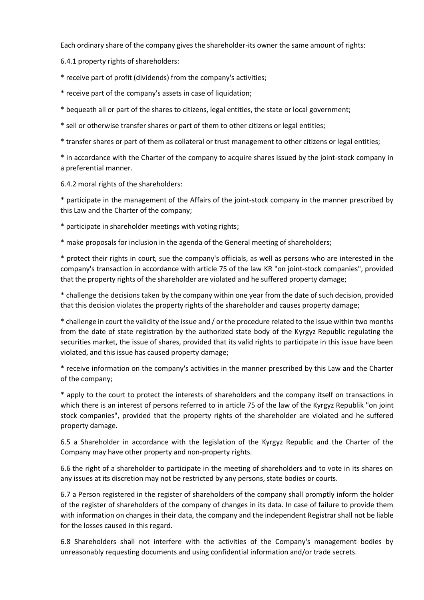Each ordinary share of the company gives the shareholder-its owner the same amount of rights:

6.4.1 property rights of shareholders:

\* receive part of profit (dividends) from the company's activities;

\* receive part of the company's assets in case of liquidation;

\* bequeath all or part of the shares to citizens, legal entities, the state or local government;

\* sell or otherwise transfer shares or part of them to other citizens or legal entities;

\* transfer shares or part of them as collateral or trust management to other citizens or legal entities;

\* in accordance with the Charter of the company to acquire shares issued by the joint-stock company in a preferential manner.

6.4.2 moral rights of the shareholders:

\* participate in the management of the Affairs of the joint-stock company in the manner prescribed by this Law and the Charter of the company;

\* participate in shareholder meetings with voting rights;

\* make proposals for inclusion in the agenda of the General meeting of shareholders;

\* protect their rights in court, sue the company's officials, as well as persons who are interested in the company's transaction in accordance with article 75 of the law KR "on joint-stock companies", provided that the property rights of the shareholder are violated and he suffered property damage;

\* challenge the decisions taken by the company within one year from the date of such decision, provided that this decision violates the property rights of the shareholder and causes property damage;

\* challenge in court the validity of the issue and / or the procedure related to the issue within two months from the date of state registration by the authorized state body of the Kyrgyz Republic regulating the securities market, the issue of shares, provided that its valid rights to participate in this issue have been violated, and this issue has caused property damage;

\* receive information on the company's activities in the manner prescribed by this Law and the Charter of the company;

\* apply to the court to protect the interests of shareholders and the company itself on transactions in which there is an interest of persons referred to in article 75 of the law of the Kyrgyz Republik "on joint stock companies", provided that the property rights of the shareholder are violated and he suffered property damage.

6.5 a Shareholder in accordance with the legislation of the Kyrgyz Republic and the Charter of the Company may have other property and non-property rights.

6.6 the right of a shareholder to participate in the meeting of shareholders and to vote in its shares on any issues at its discretion may not be restricted by any persons, state bodies or courts.

6.7 a Person registered in the register of shareholders of the company shall promptly inform the holder of the register of shareholders of the company of changes in its data. In case of failure to provide them with information on changes in their data, the company and the independent Registrar shall not be liable for the losses caused in this regard.

6.8 Shareholders shall not interfere with the activities of the Company's management bodies by unreasonably requesting documents and using confidential information and/or trade secrets.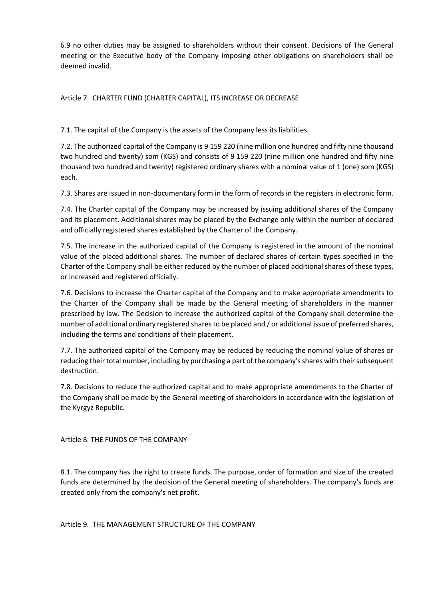6.9 no other duties may be assigned to shareholders without their consent. Decisions of The General meeting or the Executive body of the Company imposing other obligations on shareholders shall be deemed invalid.

Article 7. CHARTER FUND (CHARTER CAPITAL), ITS INCREASE OR DECREASE

7.1. The capital of the Company is the assets of the Company less its liabilities.

7.2. The authorized capital of the Company is 9 159 220 (nine million one hundred and fifty nine thousand two hundred and twenty) som (KGS) and consists of 9 159 220 (nine million one hundred and fifty nine thousand two hundred and twenty) registered ordinary shares with a nominal value of 1 (one) som (KGS) each.

7.3. Shares are issued in non-documentary form in the form of records in the registers in electronic form.

7.4. The Charter capital of the Company may be increased by issuing additional shares of the Company and its placement. Additional shares may be placed by the Exchange only within the number of declared and officially registered shares established by the Charter of the Company.

7.5. The increase in the authorized capital of the Company is registered in the amount of the nominal value of the placed additional shares. The number of declared shares of certain types specified in the Charter of the Company shall be either reduced by the number of placed additional shares of these types, or increased and registered officially.

7.6. Decisions to increase the Charter capital of the Company and to make appropriate amendments to the Charter of the Company shall be made by the General meeting of shareholders in the manner prescribed by law. The Decision to increase the authorized capital of the Company shall determine the number of additional ordinary registered shares to be placed and / or additional issue of preferred shares, including the terms and conditions of their placement.

7.7. The authorized capital of the Company may be reduced by reducing the nominal value of shares or reducing their total number, including by purchasing a part of the company's shares with their subsequent destruction.

7.8. Decisions to reduce the authorized capital and to make appropriate amendments to the Charter of the Company shall be made by the General meeting of shareholders in accordance with the legislation of the Kyrgyz Republic.

Article 8. THE FUNDS OF THE COMPANY

8.1. The company has the right to create funds. The purpose, order of formation and size of the created funds are determined by the decision of the General meeting of shareholders. The company's funds are created only from the company's net profit.

Article 9. THE MANAGEMENT STRUCTURE OF THE COMPANY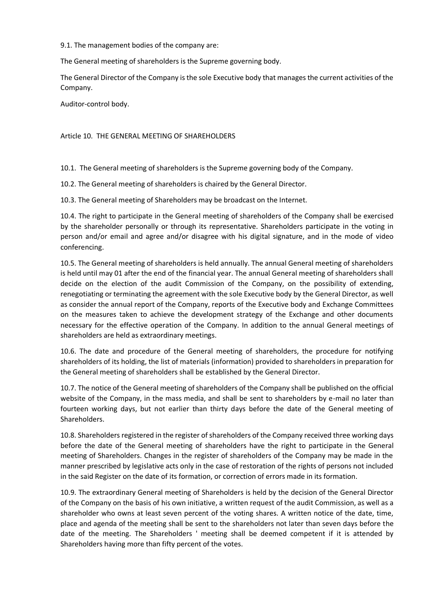9.1. The management bodies of the company are:

The General meeting of shareholders is the Supreme governing body.

The General Director of the Company is the sole Executive body that manages the current activities of the Company.

Auditor-control body.

Article 10. THE GENERAL MEETING OF SHAREHOLDERS

10.1. The General meeting of shareholders is the Supreme governing body of the Company.

10.2. The General meeting of shareholders is chaired by the General Director.

10.3. The General meeting of Shareholders may be broadcast on the Internet.

10.4. The right to participate in the General meeting of shareholders of the Company shall be exercised by the shareholder personally or through its representative. Shareholders participate in the voting in person and/or email and agree and/or disagree with his digital signature, and in the mode of video conferencing.

10.5. The General meeting of shareholders is held annually. The annual General meeting of shareholders is held until may 01 after the end of the financial year. The annual General meeting of shareholders shall decide on the election of the audit Commission of the Company, on the possibility of extending, renegotiating or terminating the agreement with the sole Executive body by the General Director, as well as consider the annual report of the Company, reports of the Executive body and Exchange Committees on the measures taken to achieve the development strategy of the Exchange and other documents necessary for the effective operation of the Company. In addition to the annual General meetings of shareholders are held as extraordinary meetings.

10.6. The date and procedure of the General meeting of shareholders, the procedure for notifying shareholders of its holding, the list of materials (information) provided to shareholders in preparation for the General meeting of shareholders shall be established by the General Director.

10.7. The notice of the General meeting of shareholders of the Company shall be published on the official website of the Company, in the mass media, and shall be sent to shareholders by e-mail no later than fourteen working days, but not earlier than thirty days before the date of the General meeting of Shareholders.

10.8. Shareholders registered in the register of shareholders of the Company received three working days before the date of the General meeting of shareholders have the right to participate in the General meeting of Shareholders. Changes in the register of shareholders of the Company may be made in the manner prescribed by legislative acts only in the case of restoration of the rights of persons not included in the said Register on the date of its formation, or correction of errors made in its formation.

10.9. The extraordinary General meeting of Shareholders is held by the decision of the General Director of the Company on the basis of his own initiative, a written request of the audit Commission, as well as a shareholder who owns at least seven percent of the voting shares. A written notice of the date, time, place and agenda of the meeting shall be sent to the shareholders not later than seven days before the date of the meeting. The Shareholders ' meeting shall be deemed competent if it is attended by Shareholders having more than fifty percent of the votes.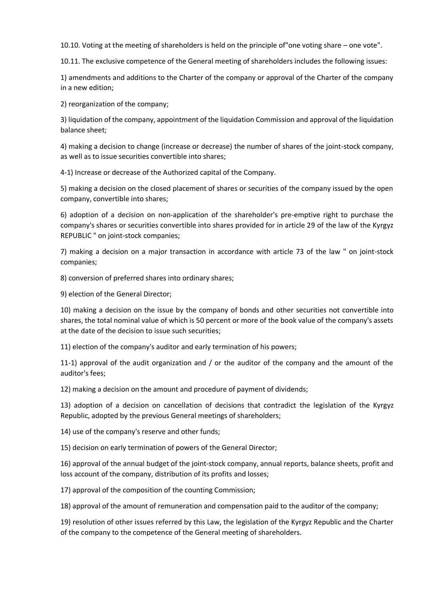10.10. Voting at the meeting of shareholders is held on the principle of"one voting share – one vote".

10.11. The exclusive competence of the General meeting of shareholders includes the following issues:

1) amendments and additions to the Charter of the company or approval of the Charter of the company in a new edition;

2) reorganization of the company;

3) liquidation of the company, appointment of the liquidation Commission and approval of the liquidation balance sheet;

4) making a decision to change (increase or decrease) the number of shares of the joint-stock company, as well as to issue securities convertible into shares;

4-1) Increase or decrease of the Authorized capital of the Company.

5) making a decision on the closed placement of shares or securities of the company issued by the open company, convertible into shares;

6) adoption of a decision on non-application of the shareholder's pre-emptive right to purchase the company's shares or securities convertible into shares provided for in article 29 of the law of the Kyrgyz REPUBLIC " on joint-stock companies;

7) making a decision on a major transaction in accordance with article 73 of the law " on joint-stock companies;

8) conversion of preferred shares into ordinary shares;

9) election of the General Director;

10) making a decision on the issue by the company of bonds and other securities not convertible into shares, the total nominal value of which is 50 percent or more of the book value of the company's assets at the date of the decision to issue such securities;

11) election of the company's auditor and early termination of his powers;

11-1) approval of the audit organization and / or the auditor of the company and the amount of the auditor's fees;

12) making a decision on the amount and procedure of payment of dividends;

13) adoption of a decision on cancellation of decisions that contradict the legislation of the Kyrgyz Republic, adopted by the previous General meetings of shareholders;

14) use of the company's reserve and other funds;

15) decision on early termination of powers of the General Director;

16) approval of the annual budget of the joint-stock company, annual reports, balance sheets, profit and loss account of the company, distribution of its profits and losses;

17) approval of the composition of the counting Commission;

18) approval of the amount of remuneration and compensation paid to the auditor of the company;

19) resolution of other issues referred by this Law, the legislation of the Kyrgyz Republic and the Charter of the company to the competence of the General meeting of shareholders.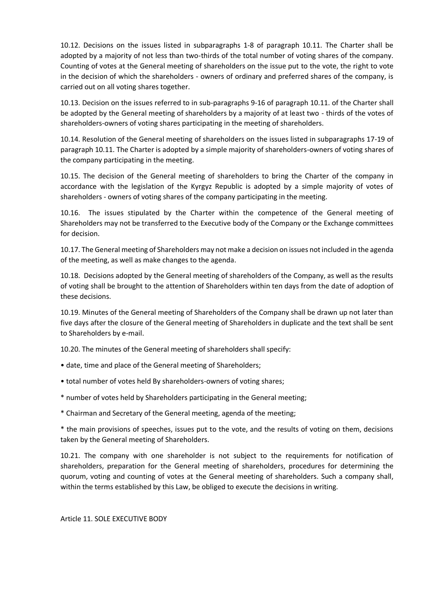10.12. Decisions on the issues listed in subparagraphs 1-8 of paragraph 10.11. The Charter shall be adopted by a majority of not less than two-thirds of the total number of voting shares of the company. Counting of votes at the General meeting of shareholders on the issue put to the vote, the right to vote in the decision of which the shareholders - owners of ordinary and preferred shares of the company, is carried out on all voting shares together.

10.13. Decision on the issues referred to in sub-paragraphs 9-16 of paragraph 10.11. of the Charter shall be adopted by the General meeting of shareholders by a majority of at least two - thirds of the votes of shareholders-owners of voting shares participating in the meeting of shareholders.

10.14. Resolution of the General meeting of shareholders on the issues listed in subparagraphs 17-19 of paragraph 10.11. The Charter is adopted by a simple majority of shareholders-owners of voting shares of the company participating in the meeting.

10.15. The decision of the General meeting of shareholders to bring the Charter of the company in accordance with the legislation of the Kyrgyz Republic is adopted by a simple majority of votes of shareholders - owners of voting shares of the company participating in the meeting.

10.16. The issues stipulated by the Charter within the competence of the General meeting of Shareholders may not be transferred to the Executive body of the Company or the Exchange committees for decision.

10.17. The General meeting of Shareholders may not make a decision on issues not included in the agenda of the meeting, as well as make changes to the agenda.

10.18. Decisions adopted by the General meeting of shareholders of the Company, as well as the results of voting shall be brought to the attention of Shareholders within ten days from the date of adoption of these decisions.

10.19. Minutes of the General meeting of Shareholders of the Company shall be drawn up not later than five days after the closure of the General meeting of Shareholders in duplicate and the text shall be sent to Shareholders by e-mail.

10.20. The minutes of the General meeting of shareholders shall specify:

- date, time and place of the General meeting of Shareholders;
- total number of votes held By shareholders-owners of voting shares;
- \* number of votes held by Shareholders participating in the General meeting;
- \* Chairman and Secretary of the General meeting, agenda of the meeting;

\* the main provisions of speeches, issues put to the vote, and the results of voting on them, decisions taken by the General meeting of Shareholders.

10.21. The company with one shareholder is not subject to the requirements for notification of shareholders, preparation for the General meeting of shareholders, procedures for determining the quorum, voting and counting of votes at the General meeting of shareholders. Such a company shall, within the terms established by this Law, be obliged to execute the decisions in writing.

### Article 11. SOLE EXECUTIVE BODY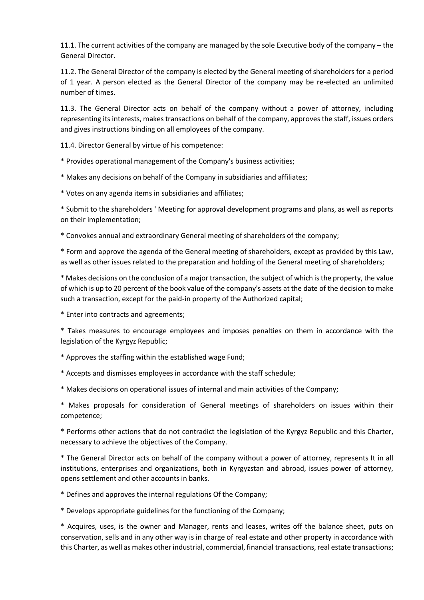11.1. The current activities of the company are managed by the sole Executive body of the company – the General Director.

11.2. The General Director of the company is elected by the General meeting of shareholders for a period of 1 year. A person elected as the General Director of the company may be re-elected an unlimited number of times.

11.3. The General Director acts on behalf of the company without a power of attorney, including representing its interests, makes transactions on behalf of the company, approves the staff, issues orders and gives instructions binding on all employees of the company.

11.4. Director General by virtue of his competence:

\* Provides operational management of the Company's business activities;

\* Makes any decisions on behalf of the Company in subsidiaries and affiliates;

\* Votes on any agenda items in subsidiaries and affiliates;

\* Submit to the shareholders ' Meeting for approval development programs and plans, as well as reports on their implementation;

\* Convokes annual and extraordinary General meeting of shareholders of the company;

\* Form and approve the agenda of the General meeting of shareholders, except as provided by this Law, as well as other issues related to the preparation and holding of the General meeting of shareholders;

\* Makes decisions on the conclusion of a major transaction, the subject of which is the property, the value of which is up to 20 percent of the book value of the company's assets at the date of the decision to make such a transaction, except for the paid-in property of the Authorized capital;

\* Enter into contracts and agreements;

\* Takes measures to encourage employees and imposes penalties on them in accordance with the legislation of the Kyrgyz Republic;

\* Approves the staffing within the established wage Fund;

\* Accepts and dismisses employees in accordance with the staff schedule;

\* Makes decisions on operational issues of internal and main activities of the Company;

\* Makes proposals for consideration of General meetings of shareholders on issues within their competence;

\* Performs other actions that do not contradict the legislation of the Kyrgyz Republic and this Charter, necessary to achieve the objectives of the Company.

\* The General Director acts on behalf of the company without a power of attorney, represents It in all institutions, enterprises and organizations, both in Kyrgyzstan and abroad, issues power of attorney, opens settlement and other accounts in banks.

\* Defines and approves the internal regulations Of the Company;

\* Develops appropriate guidelines for the functioning of the Company;

\* Acquires, uses, is the owner and Manager, rents and leases, writes off the balance sheet, puts on conservation, sells and in any other way is in charge of real estate and other property in accordance with this Charter, as well as makes other industrial, commercial, financial transactions, real estate transactions;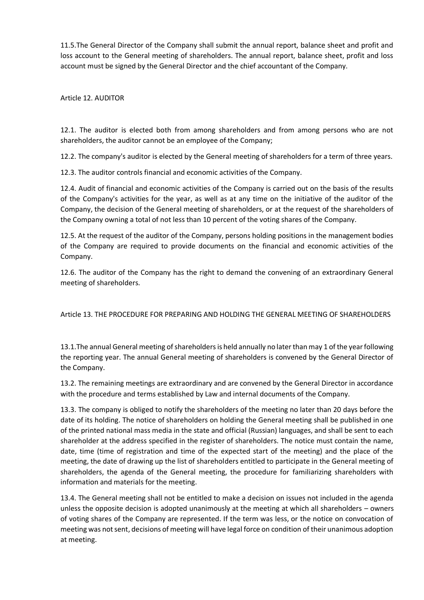11.5.The General Director of the Company shall submit the annual report, balance sheet and profit and loss account to the General meeting of shareholders. The annual report, balance sheet, profit and loss account must be signed by the General Director and the chief accountant of the Company.

Article 12. AUDITOR

12.1. The auditor is elected both from among shareholders and from among persons who are not shareholders, the auditor cannot be an employee of the Company;

12.2. The company's auditor is elected by the General meeting of shareholders for a term of three years.

12.3. The auditor controls financial and economic activities of the Company.

12.4. Audit of financial and economic activities of the Company is carried out on the basis of the results of the Company's activities for the year, as well as at any time on the initiative of the auditor of the Company, the decision of the General meeting of shareholders, or at the request of the shareholders of the Company owning a total of not less than 10 percent of the voting shares of the Company.

12.5. At the request of the auditor of the Company, persons holding positions in the management bodies of the Company are required to provide documents on the financial and economic activities of the Company.

12.6. The auditor of the Company has the right to demand the convening of an extraordinary General meeting of shareholders.

Article 13. THE PROCEDURE FOR PREPARING AND HOLDING THE GENERAL MEETING OF SHAREHOLDERS

13.1.The annual General meeting of shareholders is held annually no later than may 1 of the year following the reporting year. The annual General meeting of shareholders is convened by the General Director of the Company.

13.2. The remaining meetings are extraordinary and are convened by the General Director in accordance with the procedure and terms established by Law and internal documents of the Company.

13.3. The company is obliged to notify the shareholders of the meeting no later than 20 days before the date of its holding. The notice of shareholders on holding the General meeting shall be published in one of the printed national mass media in the state and official (Russian) languages, and shall be sent to each shareholder at the address specified in the register of shareholders. The notice must contain the name, date, time (time of registration and time of the expected start of the meeting) and the place of the meeting, the date of drawing up the list of shareholders entitled to participate in the General meeting of shareholders, the agenda of the General meeting, the procedure for familiarizing shareholders with information and materials for the meeting.

13.4. The General meeting shall not be entitled to make a decision on issues not included in the agenda unless the opposite decision is adopted unanimously at the meeting at which all shareholders – owners of voting shares of the Company are represented. If the term was less, or the notice on convocation of meeting was not sent, decisions of meeting will have legal force on condition of their unanimous adoption at meeting.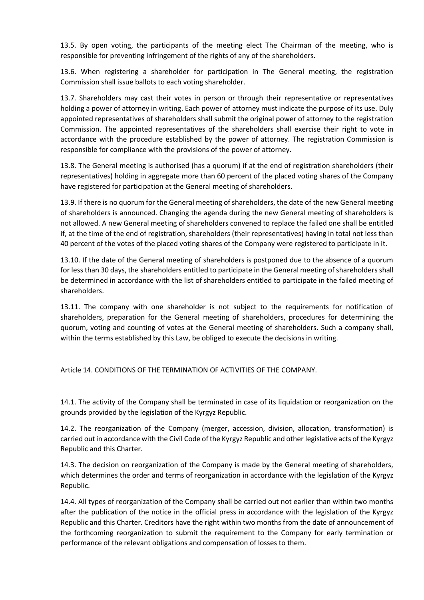13.5. By open voting, the participants of the meeting elect The Chairman of the meeting, who is responsible for preventing infringement of the rights of any of the shareholders.

13.6. When registering a shareholder for participation in The General meeting, the registration Commission shall issue ballots to each voting shareholder.

13.7. Shareholders may cast their votes in person or through their representative or representatives holding a power of attorney in writing. Each power of attorney must indicate the purpose of its use. Duly appointed representatives of shareholders shall submit the original power of attorney to the registration Commission. The appointed representatives of the shareholders shall exercise their right to vote in accordance with the procedure established by the power of attorney. The registration Commission is responsible for compliance with the provisions of the power of attorney.

13.8. The General meeting is authorised (has a quorum) if at the end of registration shareholders (their representatives) holding in aggregate more than 60 percent of the placed voting shares of the Company have registered for participation at the General meeting of shareholders.

13.9. If there is no quorum for the General meeting of shareholders, the date of the new General meeting of shareholders is announced. Changing the agenda during the new General meeting of shareholders is not allowed. A new General meeting of shareholders convened to replace the failed one shall be entitled if, at the time of the end of registration, shareholders (their representatives) having in total not less than 40 percent of the votes of the placed voting shares of the Company were registered to participate in it.

13.10. If the date of the General meeting of shareholders is postponed due to the absence of a quorum for less than 30 days, the shareholders entitled to participate in the General meeting of shareholders shall be determined in accordance with the list of shareholders entitled to participate in the failed meeting of shareholders.

13.11. The company with one shareholder is not subject to the requirements for notification of shareholders, preparation for the General meeting of shareholders, procedures for determining the quorum, voting and counting of votes at the General meeting of shareholders. Such a company shall, within the terms established by this Law, be obliged to execute the decisions in writing.

Article 14. CONDITIONS OF THE TERMINATION OF ACTIVITIES OF THE COMPANY.

14.1. The activity of the Company shall be terminated in case of its liquidation or reorganization on the grounds provided by the legislation of the Kyrgyz Republic.

14.2. The reorganization of the Company (merger, accession, division, allocation, transformation) is carried out in accordance with the Civil Code of the Kyrgyz Republic and other legislative acts of the Kyrgyz Republic and this Charter.

14.3. The decision on reorganization of the Company is made by the General meeting of shareholders, which determines the order and terms of reorganization in accordance with the legislation of the Kyrgyz Republic.

14.4. All types of reorganization of the Company shall be carried out not earlier than within two months after the publication of the notice in the official press in accordance with the legislation of the Kyrgyz Republic and this Charter. Creditors have the right within two months from the date of announcement of the forthcoming reorganization to submit the requirement to the Company for early termination or performance of the relevant obligations and compensation of losses to them.